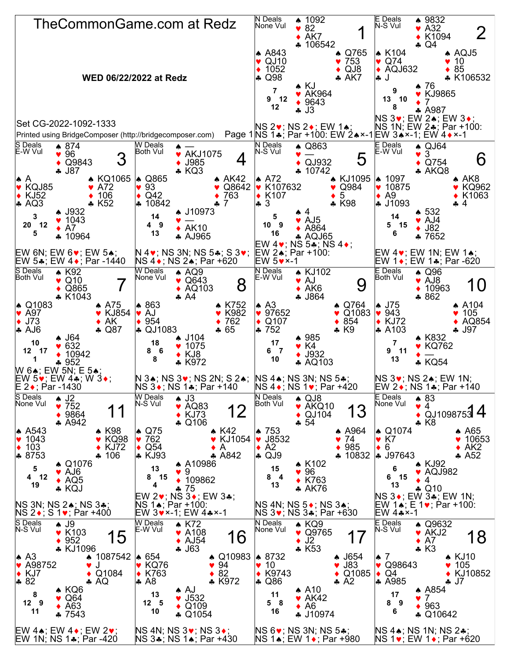